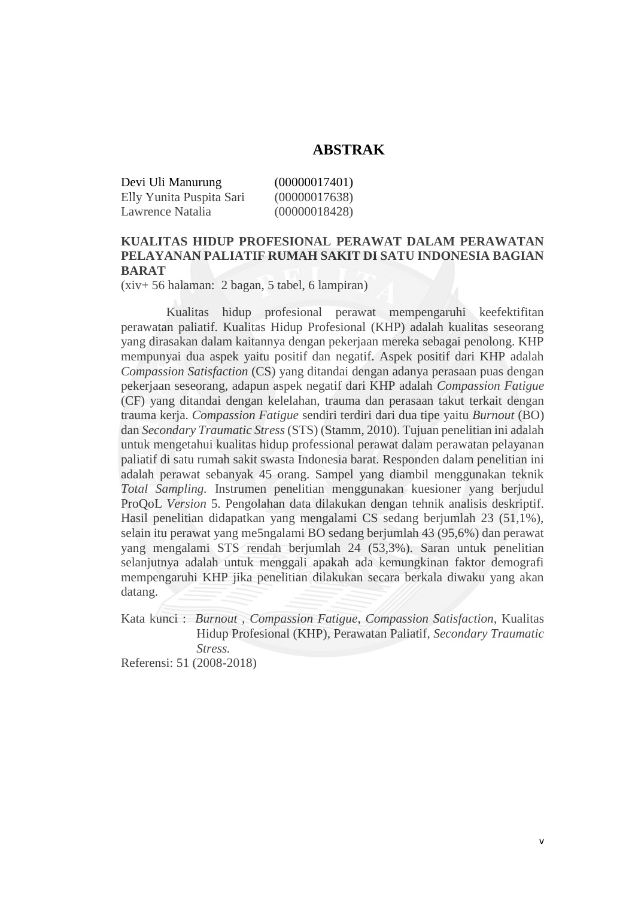## **ABSTRAK**

| Devi Uli Manurung        | (00000017401) |
|--------------------------|---------------|
| Elly Yunita Puspita Sari | (00000017638) |
| Lawrence Natalia         | (00000018428) |

## **KUALITAS HIDUP PROFESIONAL PERAWAT DALAM PERAWATAN PELAYANAN PALIATIF RUMAH SAKIT DI SATU INDONESIA BAGIAN BARAT**

(xiv+ 56 halaman: 2 bagan, 5 tabel, 6 lampiran)

Kualitas hidup profesional perawat mempengaruhi keefektifitan perawatan paliatif. Kualitas Hidup Profesional (KHP) adalah kualitas seseorang yang dirasakan dalam kaitannya dengan pekerjaan mereka sebagai penolong. KHP mempunyai dua aspek yaitu positif dan negatif. Aspek positif dari KHP adalah *Compassion Satisfaction* (CS) yang ditandai dengan adanya perasaan puas dengan pekerjaan seseorang, adapun aspek negatif dari KHP adalah *Compassion Fatigue* (CF) yang ditandai dengan kelelahan, trauma dan perasaan takut terkait dengan trauma kerja. *Compassion Fatigue* sendiri terdiri dari dua tipe yaitu *Burnout* (BO) dan *Secondary Traumatic Stress* (STS) (Stamm, 2010). Tujuan penelitian ini adalah untuk mengetahui kualitas hidup professional perawat dalam perawatan pelayanan paliatif di satu rumah sakit swasta Indonesia barat. Responden dalam penelitian ini adalah perawat sebanyak 45 orang. Sampel yang diambil menggunakan teknik *Total Sampling.* Instrumen penelitian menggunakan kuesioner yang berjudul ProQoL *Version* 5. Pengolahan data dilakukan dengan tehnik analisis deskriptif. Hasil penelitian didapatkan yang mengalami CS sedang berjumlah 23 (51,1%), selain itu perawat yang me5ngalami BO sedang berjumlah 43 (95,6%) dan perawat yang mengalami STS rendah berjumlah 24 (53,3%). Saran untuk penelitian selanjutnya adalah untuk menggali apakah ada kemungkinan faktor demografi mempengaruhi KHP jika penelitian dilakukan secara berkala diwaku yang akan datang.

Kata kunci : *Burnout , Compassion Fatigue*, *Compassion Satisfaction*, Kualitas Hidup Profesional (KHP)*,* Perawatan Paliatif, *Secondary Traumatic Stress.*

Referensi: 51 (2008-2018)